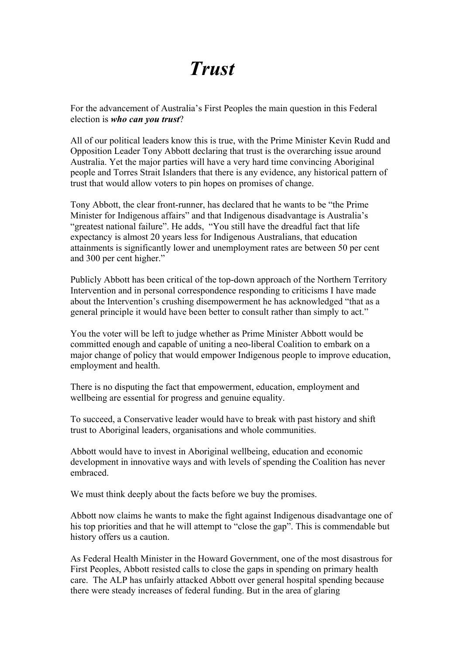## *Trust*

For the advancement of Australia's First Peoples the main question in this Federal election is *who can you trust*?

All of our political leaders know this is true, with the Prime Minister Kevin Rudd and Opposition Leader Tony Abbott declaring that trust is the overarching issue around Australia. Yet the major parties will have a very hard time convincing Aboriginal people and Torres Strait Islanders that there is any evidence, any historical pattern of trust that would allow voters to pin hopes on promises of change.

Tony Abbott, the clear front-runner, has declared that he wants to be "the Prime Minister for Indigenous affairs" and that Indigenous disadvantage is Australia's "greatest national failure". He adds, "You still have the dreadful fact that life expectancy is almost 20 years less for Indigenous Australians, that education attainments is significantly lower and unemployment rates are between 50 per cent and 300 per cent higher."

Publicly Abbott has been critical of the top-down approach of the Northern Territory Intervention and in personal correspondence responding to criticisms I have made about the Intervention's crushing disempowerment he has acknowledged "that as a general principle it would have been better to consult rather than simply to act."

You the voter will be left to judge whether as Prime Minister Abbott would be committed enough and capable of uniting a neo-liberal Coalition to embark on a major change of policy that would empower Indigenous people to improve education, employment and health.

There is no disputing the fact that empowerment, education, employment and wellbeing are essential for progress and genuine equality.

To succeed, a Conservative leader would have to break with past history and shift trust to Aboriginal leaders, organisations and whole communities.

Abbott would have to invest in Aboriginal wellbeing, education and economic development in innovative ways and with levels of spending the Coalition has never embraced.

We must think deeply about the facts before we buy the promises.

Abbott now claims he wants to make the fight against Indigenous disadvantage one of his top priorities and that he will attempt to "close the gap". This is commendable but history offers us a caution.

As Federal Health Minister in the Howard Government, one of the most disastrous for First Peoples, Abbott resisted calls to close the gaps in spending on primary health care. The ALP has unfairly attacked Abbott over general hospital spending because there were steady increases of federal funding. But in the area of glaring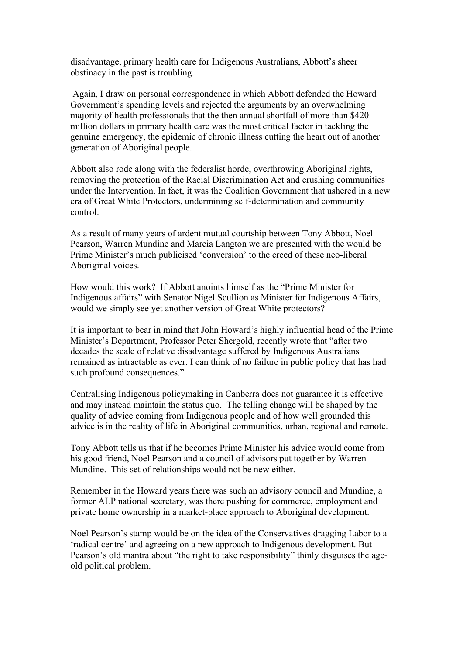disadvantage, primary health care for Indigenous Australians, Abbott's sheer obstinacy in the past is troubling.

Again, I draw on personal correspondence in which Abbott defended the Howard Government's spending levels and rejected the arguments by an overwhelming majority of health professionals that the then annual shortfall of more than \$420 million dollars in primary health care was the most critical factor in tackling the genuine emergency, the epidemic of chronic illness cutting the heart out of another generation of Aboriginal people.

Abbott also rode along with the federalist horde, overthrowing Aboriginal rights, removing the protection of the Racial Discrimination Act and crushing communities under the Intervention. In fact, it was the Coalition Government that ushered in a new era of Great White Protectors, undermining self-determination and community control.

As a result of many years of ardent mutual courtship between Tony Abbott, Noel Pearson, Warren Mundine and Marcia Langton we are presented with the would be Prime Minister's much publicised 'conversion' to the creed of these neo-liberal Aboriginal voices.

How would this work? If Abbott anoints himself as the "Prime Minister for Indigenous affairs" with Senator Nigel Scullion as Minister for Indigenous Affairs, would we simply see yet another version of Great White protectors?

It is important to bear in mind that John Howard's highly influential head of the Prime Minister's Department, Professor Peter Shergold, recently wrote that "after two decades the scale of relative disadvantage suffered by Indigenous Australians remained as intractable as ever. I can think of no failure in public policy that has had such profound consequences."

Centralising Indigenous policymaking in Canberra does not guarantee it is effective and may instead maintain the status quo. The telling change will be shaped by the quality of advice coming from Indigenous people and of how well grounded this advice is in the reality of life in Aboriginal communities, urban, regional and remote.

Tony Abbott tells us that if he becomes Prime Minister his advice would come from his good friend, Noel Pearson and a council of advisors put together by Warren Mundine. This set of relationships would not be new either.

Remember in the Howard years there was such an advisory council and Mundine, a former ALP national secretary, was there pushing for commerce, employment and private home ownership in a market-place approach to Aboriginal development.

Noel Pearson's stamp would be on the idea of the Conservatives dragging Labor to a 'radical centre' and agreeing on a new approach to Indigenous development. But Pearson's old mantra about "the right to take responsibility" thinly disguises the ageold political problem.